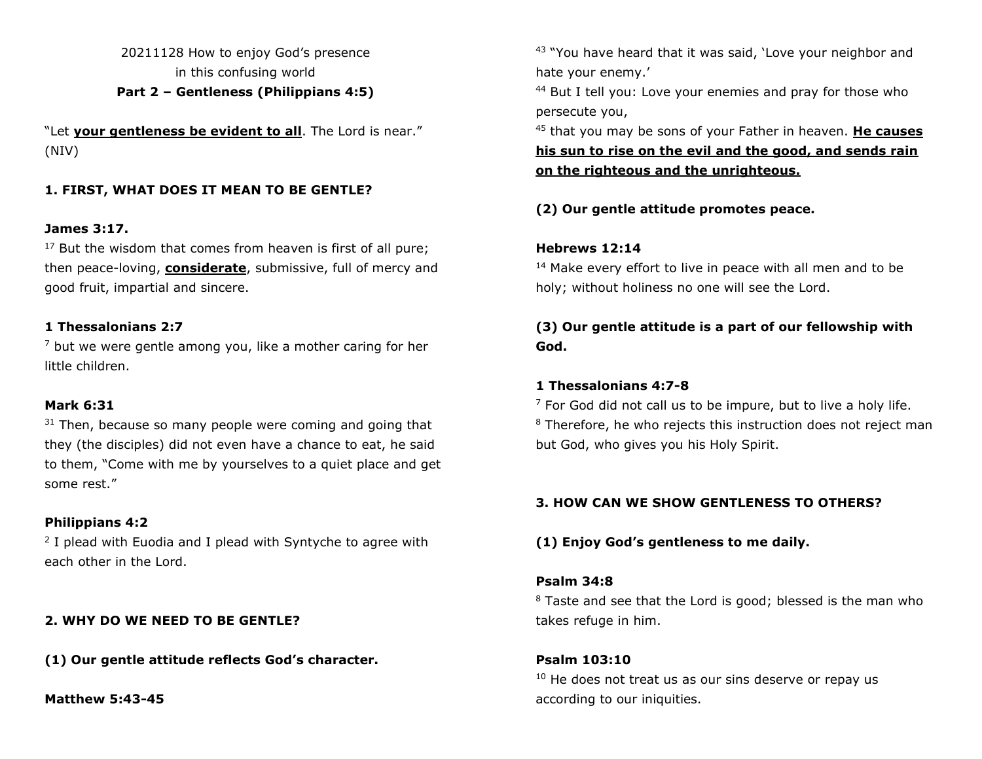20211128 How to enjoy God's presence in this confusing world **Part 2 – Gentleness (Philippians 4:5)**

"Let **your gentleness be evident to all**. The Lord is near." (NIV)

## **1. FIRST, WHAT DOES IT MEAN TO BE GENTLE?**

#### **James 3:17.**

 $17$  But the wisdom that comes from heaven is first of all pure; then peace-loving, **considerate**, submissive, full of mercy and good fruit, impartial and sincere.

#### **1 Thessalonians 2:7**

 $<sup>7</sup>$  but we were gentle among you, like a mother caring for her</sup> little children.

#### **Mark 6:31**

 $31$  Then, because so many people were coming and going that they (the disciples) did not even have a chance to eat, he said to them, "Come with me by yourselves to a quiet place and get some rest."

#### **Philippians 4:2**

<sup>2</sup> I plead with Euodia and I plead with Syntyche to agree with each other in the Lord.

#### **2. WHY DO WE NEED TO BE GENTLE?**

**(1) Our gentle attitude reflects God's character.**

**Matthew 5:43-45**

<sup>43</sup> "You have heard that it was said, 'Love your neighbor and hate your enemy.'

<sup>44</sup> But I tell you: Love your enemies and pray for those who persecute you,

<sup>45</sup> that you may be sons of your Father in heaven. **He causes his sun to rise on the evil and the good, and sends rain on the righteous and the unrighteous.**

**(2) Our gentle attitude promotes peace.**

#### **Hebrews 12:14**

<sup>14</sup> Make every effort to live in peace with all men and to be holy; without holiness no one will see the Lord.

## **(3) Our gentle attitude is a part of our fellowship with God.**

#### **1 Thessalonians 4:7-8**

 $<sup>7</sup>$  For God did not call us to be impure, but to live a holy life.</sup> <sup>8</sup> Therefore, he who rejects this instruction does not reject man but God, who gives you his Holy Spirit.

#### **3. HOW CAN WE SHOW GENTLENESS TO OTHERS?**

### **(1) Enjoy God's gentleness to me daily.**

#### **Psalm 34:8**

<sup>8</sup> Taste and see that the Lord is good; blessed is the man who takes refuge in him.

#### **Psalm 103:10**

 $10$  He does not treat us as our sins deserve or repay us according to our iniquities.